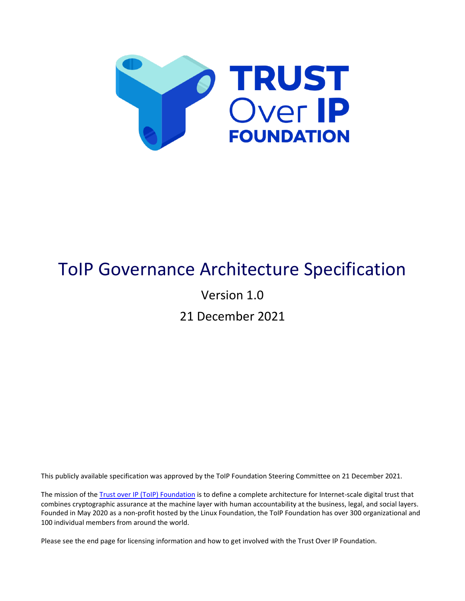

# ToIP Governance Architecture Specification

Version 1.0

21 December 2021

This publicly available specification was approved by the ToIP Foundation Steering Committee on 21 December 2021.

The mission of the [Trust over IP \(ToIP\) Foundation](http://www.trustoverip.org/) is to define a complete architecture for Internet-scale digital trust that combines cryptographic assurance at the machine layer with human accountability at the business, legal, and social layers. Founded in May 2020 as a non-profit hosted by the Linux Foundation, the ToIP Foundation has over 300 organizational and 100 individual members from around the world.

Please see the end page for licensing information and how to get involved with the Trust Over IP Foundation.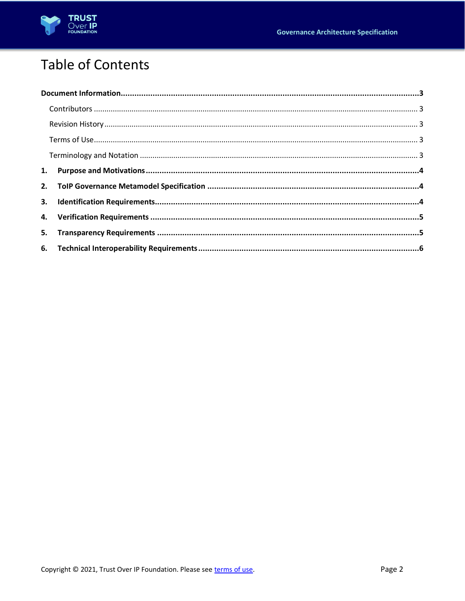

## **Table of Contents**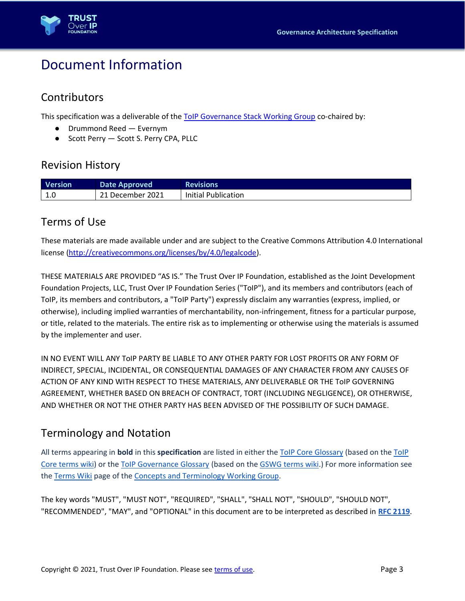

### <span id="page-2-1"></span>Document Information

#### <span id="page-2-2"></span>**Contributors**

This specification was a deliverable of the [ToIP Governance Stack Working Group](https://wiki.trustoverip.org/display/HOME/Governance+Stack+Working+Group) co-chaired by:

- Drummond Reed Evernym
- Scott Perry Scott S. Perry CPA, PLLC

#### <span id="page-2-0"></span>Revision History

| <b>Version</b>                | Date Approved    | <b>Revisions</b>    |
|-------------------------------|------------------|---------------------|
| .1 <sub>c</sub><br><b>1.U</b> | 21 December 2021 | Initial Publication |

#### <span id="page-2-3"></span>Terms of Use

These materials are made available under and are subject to the Creative Commons Attribution 4.0 International license [\(http://creativecommons.org/licenses/by/4.0/legalcode\)](http://creativecommons.org/licenses/by/4.0/legalcode).

THESE MATERIALS ARE PROVIDED "AS IS." The Trust Over IP Foundation, established as the Joint Development Foundation Projects, LLC, Trust Over IP Foundation Series ("ToIP"), and its members and contributors (each of ToIP, its members and contributors, a "ToIP Party") expressly disclaim any warranties (express, implied, or otherwise), including implied warranties of merchantability, non-infringement, fitness for a particular purpose, or title, related to the materials. The entire risk as to implementing or otherwise using the materials is assumed by the implementer and user.

IN NO EVENT WILL ANY ToIP PARTY BE LIABLE TO ANY OTHER PARTY FOR LOST PROFITS OR ANY FORM OF INDIRECT, SPECIAL, INCIDENTAL, OR CONSEQUENTIAL DAMAGES OF ANY CHARACTER FROM ANY CAUSES OF ACTION OF ANY KIND WITH RESPECT TO THESE MATERIALS, ANY DELIVERABLE OR THE ToIP GOVERNING AGREEMENT, WHETHER BASED ON BREACH OF CONTRACT, TORT (INCLUDING NEGLIGENCE), OR OTHERWISE, AND WHETHER OR NOT THE OTHER PARTY HAS BEEN ADVISED OF THE POSSIBILITY OF SUCH DAMAGE.

#### <span id="page-2-4"></span>Terminology and Notation

All terms appearing in **bold** in this **specification** are listed in either the [ToIP Core Glossary](https://trustoverip.github.io/toip/glossary) (based on the [ToIP](https://github.com/trustoverip/toip/wiki)  Core [terms wiki\)](https://github.com/trustoverip/toip/wiki) or the [ToIP Governance Glossary](https://trustoverip.github.io/gswg/glossary) (based on the [GSWG terms wiki.](https://github.com/trustoverip/gswg/wiki)) For more information see the [Terms Wiki](https://wiki.trustoverip.org/display/HOME/Terms+Wikis) page of the [Concepts and Terminology Working Group.](https://wiki.trustoverip.org/pages/viewpage.action?pageId=65700)

The key words "MUST", "MUST NOT", "REQUIRED", "SHALL", "SHALL NOT", "SHOULD", "SHOULD NOT", "RECOMMENDED", "MAY", and "OPTIONAL" in this document are to be interpreted as described in **[RFC 2119](https://tools.ietf.org/html/rfc2119)**.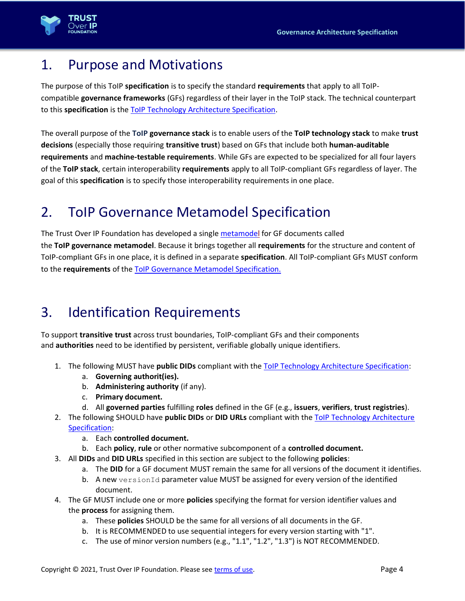

#### <span id="page-3-0"></span>1. Purpose and Motivations

The purpose of this ToIP **specification** is to specify the standard **requirements** that apply to all ToIPcompatible **governance frameworks** (GFs) regardless of their layer in the ToIP stack. The technical counterpart to this **specification** is the [ToIP Technology Architecture Specification.](https://wiki.trustoverip.org/display/HOME/ToIP+Technology+Architecture+Specification)

The overall purpose of the **ToIP governance stack** is to enable users of the **ToIP technology stack** to make **trust decisions** (especially those requiring **transitive trust**) based on GFs that include both **human-auditable requirements** and **machine-testable requirements**. While GFs are expected to be specialized for all four layers of the **ToIP stack**, certain interoperability **requirements** apply to all ToIP-compliant GFs regardless of layer. The goal of this **specification** is to specify those interoperability requirements in one place.

### <span id="page-3-1"></span>2. ToIP Governance Metamodel Specification

The Trust Over IP Foundation has developed a single [metamodel](https://en.wikipedia.org/wiki/Metamodeling) for GF documents called the **ToIP governance metamodel**. Because it brings together all **requirements** for the structure and content of ToIP-compliant GFs in one place, it is defined in a separate **specification**. All ToIP-compliant GFs MUST conform to the **requirements** of the [ToIP Governance Metamodel Specification.](https://trustoverip.org/permalink/ToIP-Governance-Metamodel-Specification-V1.0-2022-12-21.pdf)

### <span id="page-3-2"></span>3. Identification Requirements

To support **transitive trust** across trust boundaries, ToIP-compliant GFs and their components and **authorities** need to be identified by persistent, verifiable globally unique identifiers.

- 1. The following MUST have **public DIDs** compliant with the ToIP Technology [Architecture Specification:](https://wiki.trustoverip.org/display/HOME/ToIP+Technology+Architecture+Specification)
	- a. **Governing authorit(ies).**
	- b. **Administering authority** (if any).
	- c. **Primary document.**
	- d. All **governed parties** fulfilling **roles** defined in the GF (e.g., **issuers**, **verifiers**, **trust registries**).
- 2. The following SHOULD have **public DIDs** or **DID URLs** compliant with the [ToIP Technology Architecture](https://wiki.trustoverip.org/display/HOME/ToIP+Technology+Architecture+Specification)  [Specification:](https://wiki.trustoverip.org/display/HOME/ToIP+Technology+Architecture+Specification)
	- a. Each **controlled document.**
	- b. Each **policy**, **rule** or other normative subcomponent of a **controlled document.**
- 3. All **DIDs** and **DID URLs** specified in this section are subject to the following **policies**:
	- a. The **DID** for a GF document MUST remain the same for all versions of the document it identifies.
	- b. A new versionId parameter value MUST be assigned for every version of the identified document.
- 4. The GF MUST include one or more **policies** specifying the format for version identifier values and the **process** for assigning them.
	- a. These **policies** SHOULD be the same for all versions of all documents in the GF.
	- b. It is RECOMMENDED to use sequential integers for every version starting with "1".
	- c. The use of minor version numbers (e.g., "1.1", "1.2", "1.3") is NOT RECOMMENDED.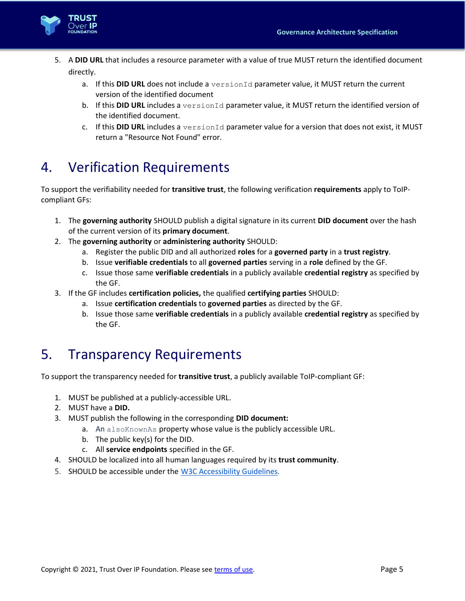

- 5. A **DID URL** that includes a resource parameter with a value of true MUST return the identified document directly.
	- a. If this **DID URL** does not include a versionId parameter value, it MUST return the current version of the identified document
	- b. If this **DID URL** includes a versionId parameter value, it MUST return the identified version of the identified document.
	- c. If this DID URL includes a versionId parameter value for a version that does not exist, it MUST return a "Resource Not Found" error.

#### <span id="page-4-0"></span>4. Verification Requirements

To support the verifiability needed for **transitive trust**, the following verification **requirements** apply to ToIPcompliant GFs:

- 1. The **governing authority** SHOULD publish a digital signature in its current **DID document** over the hash of the current version of its **primary document**.
- 2. The **governing authority** or **administering authority** SHOULD:
	- a. Register the public DID and all authorized **roles** for a **governed party** in a **trust registry**.
	- b. Issue **verifiable credentials** to all **governed parties** serving in a **role** defined by the GF.
	- c. Issue those same **verifiable credentials** in a publicly available **credential registry** as specified by the GF.
- 3. If the GF includes **certification policies,** the qualified **certifying parties** SHOULD:
	- a. Issue **certification credentials** to **governed parties** as directed by the GF.
	- b. Issue those same **verifiable credentials** in a publicly available **credential registry** as specified by the GF.

#### <span id="page-4-1"></span>5. Transparency Requirements

To support the transparency needed for **transitive trust**, a publicly available ToIP-compliant GF:

- 1. MUST be published at a publicly-accessible URL.
- 2. MUST have a **DID.**
- 3. MUST publish the following in the corresponding **DID document:**
	- a. An alsoKnownAs property whose value is the publicly accessible URL.
	- b. The public key(s) for the DID.
	- c. All **service endpoints** specified in the GF.
- 4. SHOULD be localized into all human languages required by its **trust community**.
- 5. SHOULD be accessible under the [W3C Accessibility Guidelines](https://www.w3.org/WAI/standards-guidelines/).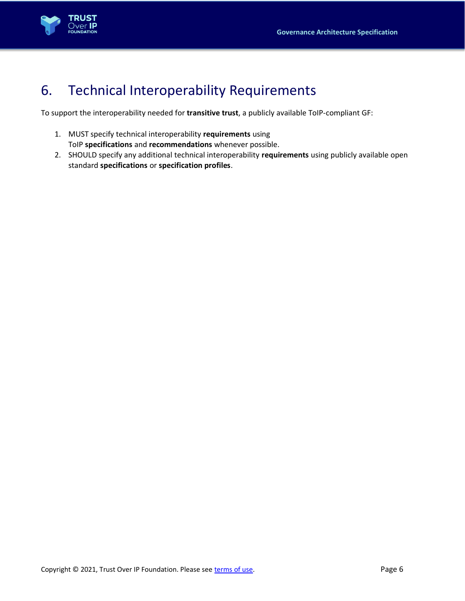

### <span id="page-5-0"></span>6. Technical Interoperability Requirements

To support the interoperability needed for **transitive trust**, a publicly available ToIP-compliant GF:

- 1. MUST specify technical interoperability **requirements** using ToIP **specifications** and **recommendations** whenever possible.
- 2. SHOULD specify any additional technical interoperability **requirements** using publicly available open standard **specifications** or **specification profiles**.